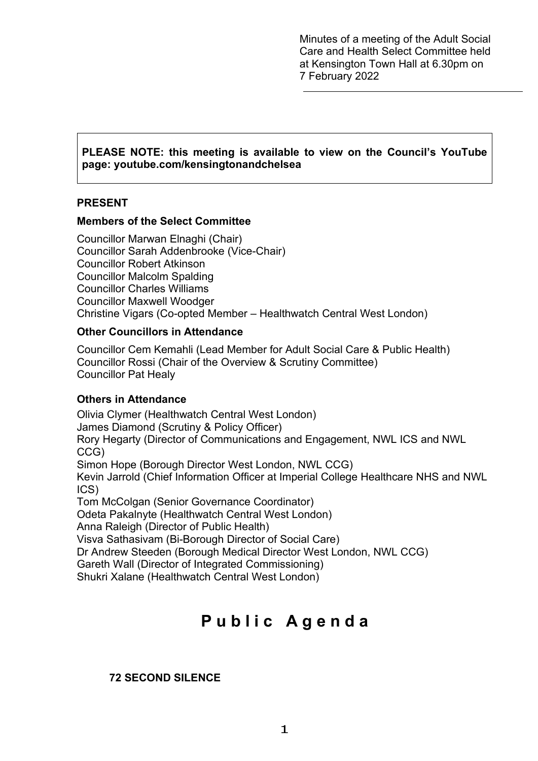Minutes of a meeting of the Adult Social Care and Health Select Committee held at Kensington Town Hall at 6.30pm on 7 February 2022

**PLEASE NOTE: this meeting is available to view on the Council's YouTube page: youtube.com/kensingtonandchelsea**

# **PRESENT**

#### **Members of the Select Committee**

Councillor Marwan Elnaghi (Chair) Councillor Sarah Addenbrooke (Vice-Chair) Councillor Robert Atkinson Councillor Malcolm Spalding Councillor Charles Williams Councillor Maxwell Woodger Christine Vigars (Co-opted Member – Healthwatch Central West London)

### **Other Councillors in Attendance**

Councillor Cem Kemahli (Lead Member for Adult Social Care & Public Health) Councillor Rossi (Chair of the Overview & Scrutiny Committee) Councillor Pat Healy

### **Others in Attendance**

Olivia Clymer (Healthwatch Central West London) James Diamond (Scrutiny & Policy Officer) Rory Hegarty (Director of Communications and Engagement, NWL ICS and NWL CCG) Simon Hope (Borough Director West London, NWL CCG) Kevin Jarrold (Chief Information Officer at Imperial College Healthcare NHS and NWL ICS) Tom McColgan (Senior Governance Coordinator) Odeta Pakalnyte (Healthwatch Central West London) Anna Raleigh (Director of Public Health) Visva Sathasivam (Bi-Borough Director of Social Care) Dr Andrew Steeden (Borough Medical Director West London, NWL CCG) Gareth Wall (Director of Integrated Commissioning) Shukri Xalane (Healthwatch Central West London)

# Public Agenda

### **72 SECOND SILENCE**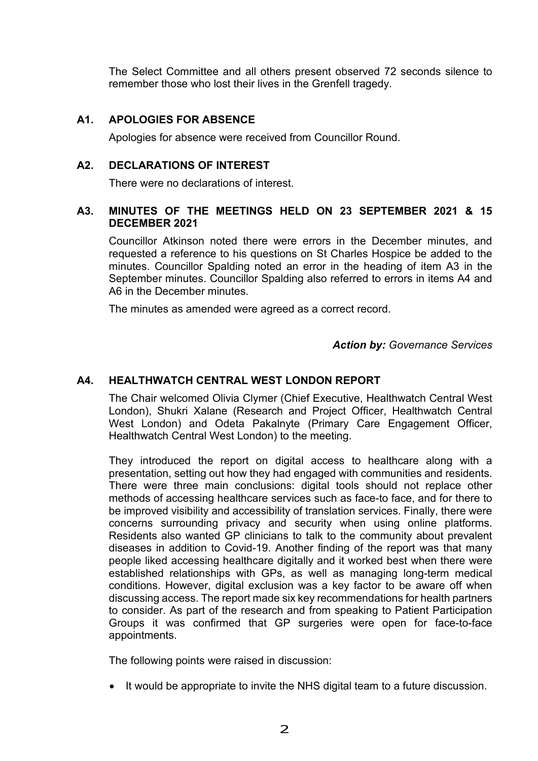The Select Committee and all others present observed 72 seconds silence to remember those who lost their lives in the Grenfell tragedy.

# **A1. APOLOGIES FOR ABSENCE**

Apologies for absence were received from Councillor Round.

## **A2. DECLARATIONS OF INTEREST**

There were no declarations of interest.

## **A3. MINUTES OF THE MEETINGS HELD ON 23 SEPTEMBER 2021 & 15 DECEMBER 2021**

Councillor Atkinson noted there were errors in the December minutes, and requested a reference to his questions on St Charles Hospice be added to the minutes. Councillor Spalding noted an error in the heading of item A3 in the September minutes. Councillor Spalding also referred to errors in items A4 and A6 in the December minutes.

The minutes as amended were agreed as a correct record.

# *Action by: Governance Services*

# **A4. HEALTHWATCH CENTRAL WEST LONDON REPORT**

The Chair welcomed Olivia Clymer (Chief Executive, Healthwatch Central West London), Shukri Xalane (Research and Project Officer, Healthwatch Central West London) and Odeta Pakalnyte (Primary Care Engagement Officer, Healthwatch Central West London) to the meeting.

They introduced the report on digital access to healthcare along with a presentation, setting out how they had engaged with communities and residents. There were three main conclusions: digital tools should not replace other methods of accessing healthcare services such as face-to face, and for there to be improved visibility and accessibility of translation services. Finally, there were concerns surrounding privacy and security when using online platforms. Residents also wanted GP clinicians to talk to the community about prevalent diseases in addition to Covid-19. Another finding of the report was that many people liked accessing healthcare digitally and it worked best when there were established relationships with GPs, as well as managing long-term medical conditions. However, digital exclusion was a key factor to be aware off when discussing access. The report made six key recommendations for health partners to consider. As part of the research and from speaking to Patient Participation Groups it was confirmed that GP surgeries were open for face-to-face appointments.

The following points were raised in discussion:

• It would be appropriate to invite the NHS digital team to a future discussion.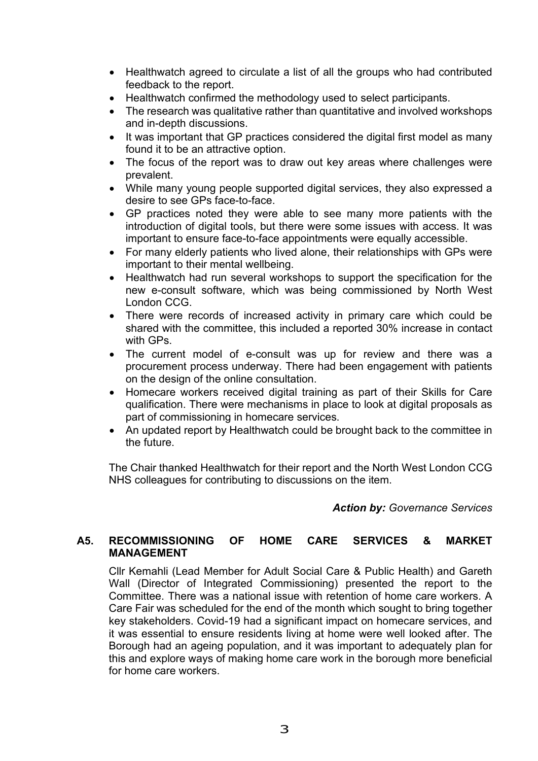- Healthwatch agreed to circulate a list of all the groups who had contributed feedback to the report.
- Healthwatch confirmed the methodology used to select participants.
- The research was qualitative rather than quantitative and involved workshops and in-depth discussions.
- It was important that GP practices considered the digital first model as many found it to be an attractive option.
- The focus of the report was to draw out key areas where challenges were prevalent.
- While many young people supported digital services, they also expressed a desire to see GPs face-to-face.
- GP practices noted they were able to see many more patients with the introduction of digital tools, but there were some issues with access. It was important to ensure face-to-face appointments were equally accessible.
- For many elderly patients who lived alone, their relationships with GPs were important to their mental wellbeing.
- Healthwatch had run several workshops to support the specification for the new e-consult software, which was being commissioned by North West London CCG.
- There were records of increased activity in primary care which could be shared with the committee, this included a reported 30% increase in contact with GPs.
- The current model of e-consult was up for review and there was a procurement process underway. There had been engagement with patients on the design of the online consultation.
- Homecare workers received digital training as part of their Skills for Care qualification. There were mechanisms in place to look at digital proposals as part of commissioning in homecare services.
- An updated report by Healthwatch could be brought back to the committee in the future.

The Chair thanked Healthwatch for their report and the North West London CCG NHS colleagues for contributing to discussions on the item.

### *Action by: Governance Services*

### **A5. RECOMMISSIONING OF HOME CARE SERVICES & MARKET MANAGEMENT**

Cllr Kemahli (Lead Member for Adult Social Care & Public Health) and Gareth Wall (Director of Integrated Commissioning) presented the report to the Committee. There was a national issue with retention of home care workers. A Care Fair was scheduled for the end of the month which sought to bring together key stakeholders. Covid-19 had a significant impact on homecare services, and it was essential to ensure residents living at home were well looked after. The Borough had an ageing population, and it was important to adequately plan for this and explore ways of making home care work in the borough more beneficial for home care workers.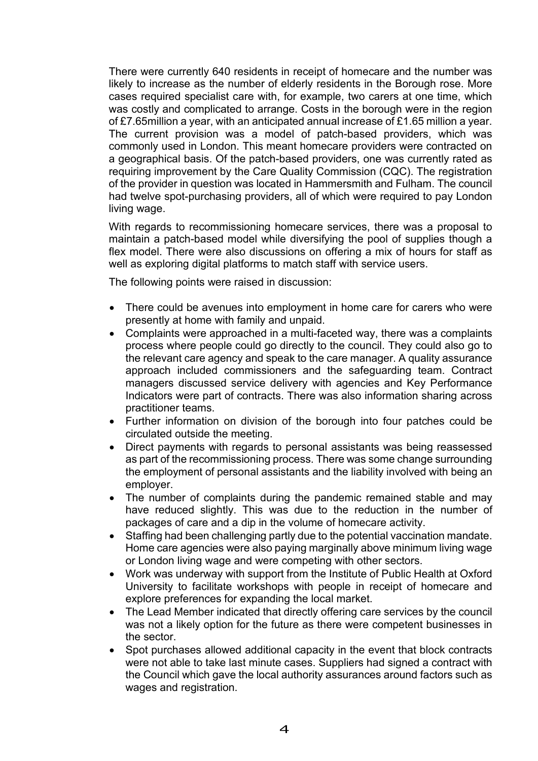There were currently 640 residents in receipt of homecare and the number was likely to increase as the number of elderly residents in the Borough rose. More cases required specialist care with, for example, two carers at one time, which was costly and complicated to arrange. Costs in the borough were in the region of £7.65million a year, with an anticipated annual increase of £1.65 million a year. The current provision was a model of patch-based providers, which was commonly used in London. This meant homecare providers were contracted on a geographical basis. Of the patch-based providers, one was currently rated as requiring improvement by the Care Quality Commission (CQC). The registration of the provider in question was located in Hammersmith and Fulham. The council had twelve spot-purchasing providers, all of which were required to pay London living wage.

With regards to recommissioning homecare services, there was a proposal to maintain a patch-based model while diversifying the pool of supplies though a flex model. There were also discussions on offering a mix of hours for staff as well as exploring digital platforms to match staff with service users.

The following points were raised in discussion:

- There could be avenues into employment in home care for carers who were presently at home with family and unpaid.
- Complaints were approached in a multi-faceted way, there was a complaints process where people could go directly to the council. They could also go to the relevant care agency and speak to the care manager. A quality assurance approach included commissioners and the safeguarding team. Contract managers discussed service delivery with agencies and Key Performance Indicators were part of contracts. There was also information sharing across practitioner teams.
- Further information on division of the borough into four patches could be circulated outside the meeting.
- Direct payments with regards to personal assistants was being reassessed as part of the recommissioning process. There was some change surrounding the employment of personal assistants and the liability involved with being an employer.
- The number of complaints during the pandemic remained stable and may have reduced slightly. This was due to the reduction in the number of packages of care and a dip in the volume of homecare activity.
- Staffing had been challenging partly due to the potential vaccination mandate. Home care agencies were also paying marginally above minimum living wage or London living wage and were competing with other sectors.
- Work was underway with support from the Institute of Public Health at Oxford University to facilitate workshops with people in receipt of homecare and explore preferences for expanding the local market.
- The Lead Member indicated that directly offering care services by the council was not a likely option for the future as there were competent businesses in the sector.
- Spot purchases allowed additional capacity in the event that block contracts were not able to take last minute cases. Suppliers had signed a contract with the Council which gave the local authority assurances around factors such as wages and registration.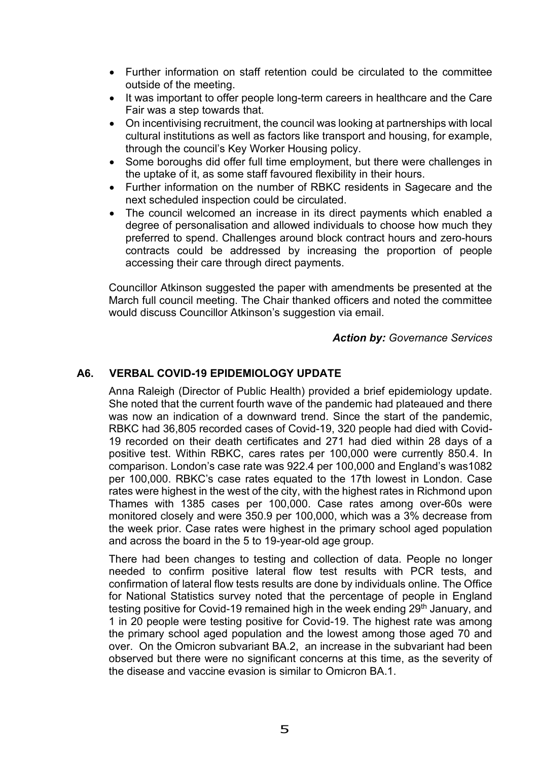- Further information on staff retention could be circulated to the committee outside of the meeting.
- It was important to offer people long-term careers in healthcare and the Care Fair was a step towards that.
- On incentivising recruitment, the council was looking at partnerships with local cultural institutions as well as factors like transport and housing, for example, through the council's Key Worker Housing policy.
- Some boroughs did offer full time employment, but there were challenges in the uptake of it, as some staff favoured flexibility in their hours.
- Further information on the number of RBKC residents in Sagecare and the next scheduled inspection could be circulated.
- The council welcomed an increase in its direct payments which enabled a degree of personalisation and allowed individuals to choose how much they preferred to spend. Challenges around block contract hours and zero-hours contracts could be addressed by increasing the proportion of people accessing their care through direct payments.

Councillor Atkinson suggested the paper with amendments be presented at the March full council meeting. The Chair thanked officers and noted the committee would discuss Councillor Atkinson's suggestion via email.

*Action by: Governance Services*

# **A6. VERBAL COVID-19 EPIDEMIOLOGY UPDATE**

Anna Raleigh (Director of Public Health) provided a brief epidemiology update. She noted that the current fourth wave of the pandemic had plateaued and there was now an indication of a downward trend. Since the start of the pandemic, RBKC had 36,805 recorded cases of Covid-19, 320 people had died with Covid-19 recorded on their death certificates and 271 had died within 28 days of a positive test. Within RBKC, cares rates per 100,000 were currently 850.4. In comparison. London's case rate was 922.4 per 100,000 and England's was1082 per 100,000. RBKC's case rates equated to the 17th lowest in London. Case rates were highest in the west of the city, with the highest rates in Richmond upon Thames with 1385 cases per 100,000. Case rates among over-60s were monitored closely and were 350.9 per 100,000, which was a 3% decrease from the week prior. Case rates were highest in the primary school aged population and across the board in the 5 to 19-year-old age group.

There had been changes to testing and collection of data. People no longer needed to confirm positive lateral flow test results with PCR tests, and confirmation of lateral flow tests results are done by individuals online. The Office for National Statistics survey noted that the percentage of people in England testing positive for Covid-19 remained high in the week ending 29<sup>th</sup> January, and 1 in 20 people were testing positive for Covid-19. The highest rate was among the primary school aged population and the lowest among those aged 70 and over. On the Omicron subvariant BA.2, an increase in the subvariant had been observed but there were no significant concerns at this time, as the severity of the disease and vaccine evasion is similar to Omicron BA.1.